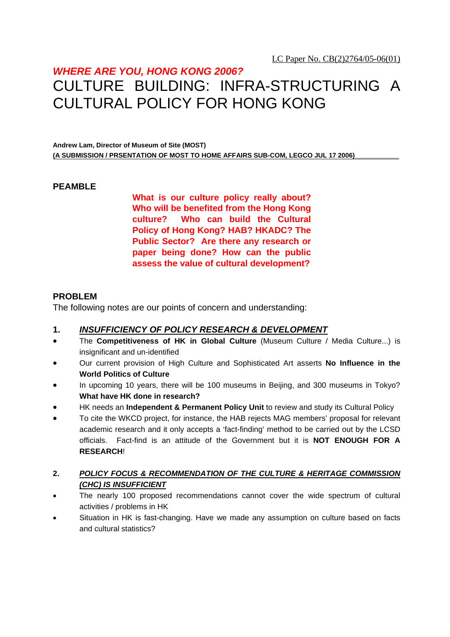### *WHERE ARE YOU, HONG KONG 2006?*

## CULTURE BUILDING: INFRA-STRUCTURING A CULTURAL POLICY FOR HONG KONG

**Andrew Lam, Director of Museum of Site (MOST)**  (A SUBMISSION / PRSENTATION OF MOST TO HOME AFFAIRS SUB-COM, LEGCO JUL 17 2006)

#### **PEAMBLE**

**What is our culture policy really about? Who will be benefited from the Hong Kong culture? Who can build the Cultural Policy of Hong Kong? HAB? HKADC? The Public Sector? Are there any research or paper being done? How can the public assess the value of cultural development?** 

#### **PROBLEM**

The following notes are our points of concern and understanding:

#### **1.** *INSUFFICIENCY OF POLICY RESEARCH & DEVELOPMENT*

- The **Competitiveness of HK in Global Culture** (Museum Culture / Media Culture...) is insignificant and un-identified
- Our current provision of High Culture and Sophisticated Art asserts **No Influence in the World Politics of Culture**
- In upcoming 10 years, there will be 100 museums in Beijing, and 300 museums in Tokyo? **What have HK done in research?**
- HK needs an **Independent & Permanent Policy Unit** to review and study its Cultural Policy
- To cite the WKCD project, for instance, the HAB rejects MAG members' proposal for relevant academic research and it only accepts a 'fact-finding' method to be carried out by the LCSD officials. Fact-find is an attitude of the Government but it is **NOT ENOUGH FOR A RESEARCH**!
- **2.** *POLICY FOCUS & RECOMMENDATION OF THE CULTURE & HERITAGE COMMISSION (CHC) IS INSUFFICIENT*
- The nearly 100 proposed recommendations cannot cover the wide spectrum of cultural activities / problems in HK
- Situation in HK is fast-changing. Have we made any assumption on culture based on facts and cultural statistics?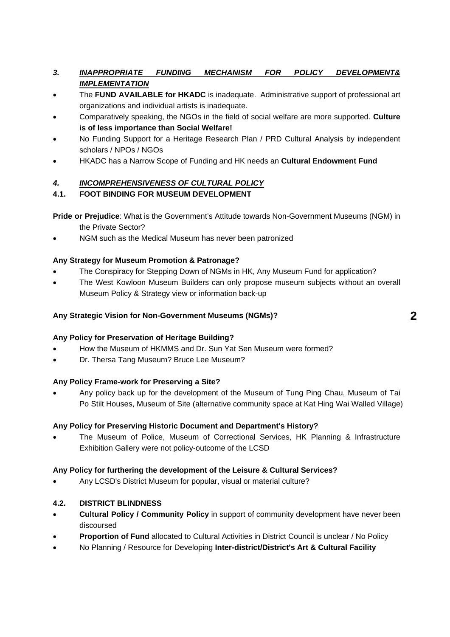#### *3. INAPPROPRIATE FUNDING MECHANISM FOR POLICY DEVELOPMENT& IMPLEMENTATION*

- The **FUND AVAILABLE for HKADC** is inadequate. Administrative support of professional art organizations and individual artists is inadequate.
- Comparatively speaking, the NGOs in the field of social welfare are more supported. **Culture is of less importance than Social Welfare!**
- No Funding Support for a Heritage Research Plan / PRD Cultural Analysis by independent scholars / NPOs / NGOs
- HKADC has a Narrow Scope of Funding and HK needs an **Cultural Endowment Fund**

#### *4. INCOMPREHENSIVENESS OF CULTURAL POLICY*

#### **4.1. FOOT BINDING FOR MUSEUM DEVELOPMENT**

**Pride or Prejudice**: What is the Government's Attitude towards Non-Government Museums (NGM) in the Private Sector?

• NGM such as the Medical Museum has never been patronized

#### **Any Strategy for Museum Promotion & Patronage?**

- The Conspiracy for Stepping Down of NGMs in HK, Any Museum Fund for application?
- The West Kowloon Museum Builders can only propose museum subjects without an overall Museum Policy & Strategy view or information back-up

#### **Any Strategic Vision for Non-Government Museums (NGMs)?**

#### **Any Policy for Preservation of Heritage Building?**

- How the Museum of HKMMS and Dr. Sun Yat Sen Museum were formed?
- Dr. Thersa Tang Museum? Bruce Lee Museum?

#### **Any Policy Frame-work for Preserving a Site?**

• Any policy back up for the development of the Museum of Tung Ping Chau, Museum of Tai Po Stilt Houses, Museum of Site (alternative community space at Kat Hing Wai Walled Village)

#### **Any Policy for Preserving Historic Document and Department's History?**

• The Museum of Police, Museum of Correctional Services, HK Planning & Infrastructure Exhibition Gallery were not policy-outcome of the LCSD

#### **Any Policy for furthering the development of the Leisure & Cultural Services?**

• Any LCSD's District Museum for popular, visual or material culture?

#### **4.2. DISTRICT BLINDNESS**

- **Cultural Policy / Community Policy** in support of community development have never been discoursed
- **Proportion of Fund** allocated to Cultural Activities in District Council is unclear / No Policy
- No Planning / Resource for Developing **Inter-district/District's Art & Cultural Facility**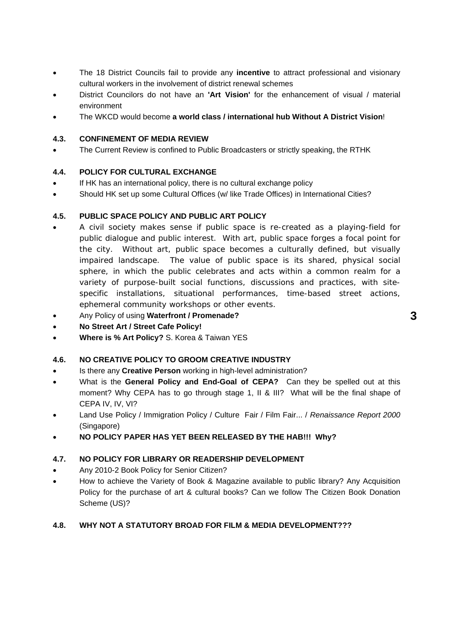- The 18 District Councils fail to provide any **incentive** to attract professional and visionary cultural workers in the involvement of district renewal schemes
- District Councilors do not have an **'Art Vision'** for the enhancement of visual / material environment
- The WKCD would become **a world class / international hub Without A District Vision**!

#### **4.3. CONFINEMENT OF MEDIA REVIEW**

The Current Review is confined to Public Broadcasters or strictly speaking, the RTHK

#### **4.4. POLICY FOR CULTURAL EXCHANGE**

- If HK has an international policy, there is no cultural exchange policy
- Should HK set up some Cultural Offices (w/ like Trade Offices) in International Cities?

#### **4.5. PUBLIC SPACE POLICY AND PUBLIC ART POLICY**

- A civil society makes sense if public space is re-created as a playing-field for public dialogue and public interest. With art, public space forges a focal point for the city. Without art, public space becomes a culturally defined, but visually impaired landscape. The value of public space is its shared, physical social sphere, in which the public celebrates and acts within a common realm for a variety of purpose-built social functions, discussions and practices, with sitespecific installations, situational performances, time-based street actions, ephemeral community workshops or other events.
- Any Policy of using **Waterfront / Promenade?**
- **No Street Art / Street Cafe Policy!**
- **Where is % Art Policy?** S. Korea & Taiwan YES

#### **4.6. NO CREATIVE POLICY TO GROOM CREATIVE INDUSTRY**

- Is there any **Creative Person** working in high-level administration?
- What is the **General Policy and End-Goal of CEPA?** Can they be spelled out at this moment? Why CEPA has to go through stage 1, II & III? What will be the final shape of CEPA IV, IV, VI?
- Land Use Policy / Immigration Policy / Culture Fair / Film Fair... / *Renaissance Report 2000* (Singapore)
- **NO POLICY PAPER HAS YET BEEN RELEASED BY THE HAB!!! Why?**

#### **4.7. NO POLICY FOR LIBRARY OR READERSHIP DEVELOPMENT**

- Any 2010-2 Book Policy for Senior Citizen?
- How to achieve the Variety of Book & Magazine available to public library? Any Acquisition Policy for the purchase of art & cultural books? Can we follow The Citizen Book Donation Scheme (US)?

#### **4.8. WHY NOT A STATUTORY BROAD FOR FILM & MEDIA DEVELOPMENT???**

**3**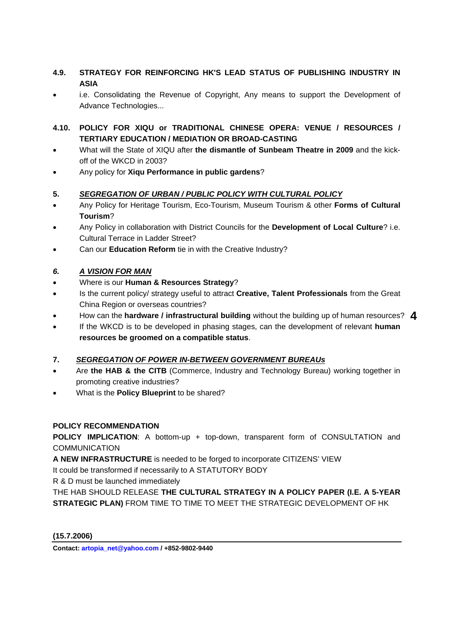#### **4.9. STRATEGY FOR REINFORCING HK'S LEAD STATUS OF PUBLISHING INDUSTRY IN ASIA**

- i.e. Consolidating the Revenue of Copyright, Any means to support the Development of Advance Technologies...
- **4.10. POLICY FOR XIQU or TRADITIONAL CHINESE OPERA: VENUE / RESOURCES / TERTIARY EDUCATION / MEDIATION OR BROAD-CASTING**
- What will the State of XIQU after **the dismantle of Sunbeam Theatre in 2009** and the kickoff of the WKCD in 2003?
- Any policy for **Xiqu Performance in public gardens**?

#### **5.** *SEGREGATION OF URBAN / PUBLIC POLICY WITH CULTURAL POLICY*

- Any Policy for Heritage Tourism, Eco-Tourism, Museum Tourism & other **Forms of Cultural Tourism**?
- Any Policy in collaboration with District Councils for the **Development of Local Culture**? i.e. Cultural Terrace in Ladder Street?
- Can our **Education Reform** tie in with the Creative Industry?

#### *6. A VISION FOR MAN*

- Where is our **Human & Resources Strategy**?
- Is the current policy/ strategy useful to attract **Creative, Talent Professionals** from the Great China Region or overseas countries?
- **•** How can the **hardware / infrastructural building** without the building up of human resources? 4
- If the WKCD is to be developed in phasing stages, can the development of relevant **human resources be groomed on a compatible status**.

#### **7.** *SEGREGATION OF POWER IN-BETWEEN GOVERNMENT BUREAUs*

- Are **the HAB & the CITB** (Commerce, Industry and Technology Bureau) working together in promoting creative industries?
- What is the **Policy Blueprint** to be shared?

#### **POLICY RECOMMENDATION**

**POLICY IMPLICATION**: A bottom-up + top-down, transparent form of CONSULTATION and **COMMUNICATION** 

**A NEW INFRASTRUCTURE** is needed to be forged to incorporate CITIZENS' VIEW

It could be transformed if necessarily to A STATUTORY BODY

R & D must be launched immediately

THE HAB SHOULD RELEASE **THE CULTURAL STRATEGY IN A POLICY PAPER (I.E. A 5-YEAR STRATEGIC PLAN)** FROM TIME TO TIME TO MEET THE STRATEGIC DEVELOPMENT OF HK

**(15.7.2006)** 

**Contact: artopia\_net@yahoo.com / +852-9802-9440**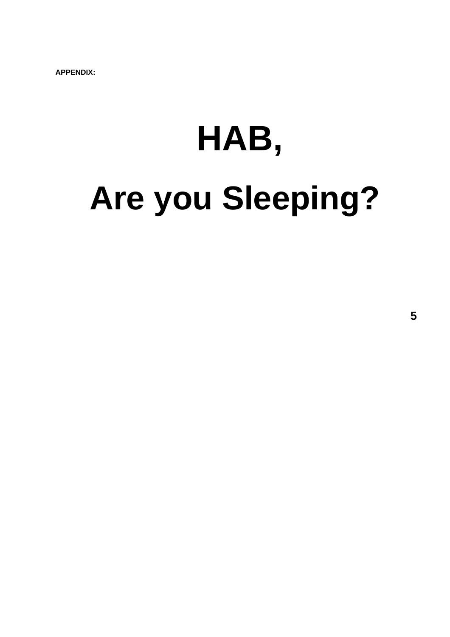# **HAB, Are you Sleeping?**

**5**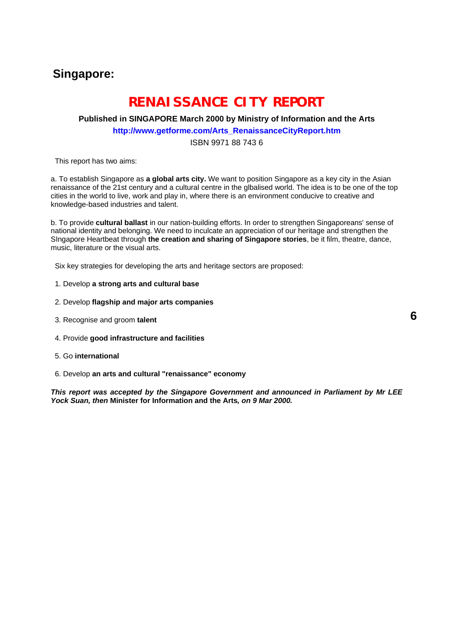## **Singapore:**

## **RENAISSANCE CITY REPORT**

#### **Published in SINGAPORE March 2000 by Ministry of Information and the Arts http://www.getforme.com/Arts\_RenaissanceCityReport.htm**

#### ISBN 9971 88 743 6

This report has two aims:

a. To establish Singapore as **a global arts city.** We want to position Singapore as a key city in the Asian renaissance of the 21st century and a cultural centre in the glbalised world. The idea is to be one of the top cities in the world to live, work and play in, where there is an environment conducive to creative and knowledge-based industries and talent.

b. To provide **cultural ballast** in our nation-building efforts. In order to strengthen Singaporeans' sense of national identity and belonging. We need to inculcate an appreciation of our heritage and strengthen the SIngapore Heartbeat through **the creation and sharing of Singapore stories**, be it film, theatre, dance, music, literature or the visual arts.

Six key strategies for developing the arts and heritage sectors are proposed:

- 1. Develop **a strong arts and cultural base**
- 2. Develop **flagship and major arts companies**
- 3. Recognise and groom **talent**
- 4. Provide **good infrastructure and facilities**
- 5. Go **international**
- 6. Develop **an arts and cultural "renaissance" economy**

*This report was accepted by the Singapore Government and announced in Parliament by Mr LEE Yock Suan, then* **Minister for Information and the Arts***, on 9 Mar 2000.*

**6**